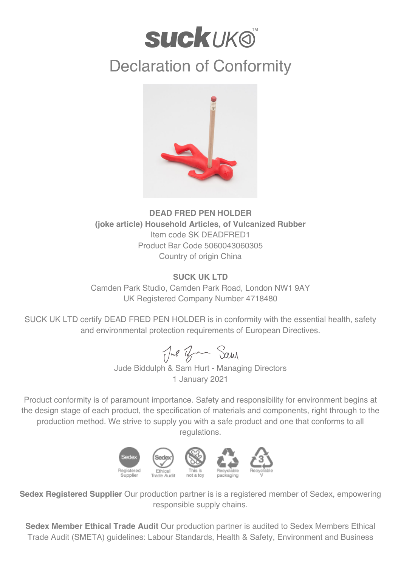

## Declaration of Conformity



## **DEAD FRED PEN HOLDER (joke article) Household Articles, of Vulcanized Rubber** Item code SK DEADFRED1 Product Bar Code 5060043060305 Country of origin China

## **SUCK UK LTD**

Camden Park Studio, Camden Park Road, London NW1 9AY UK Registered Company Number 4718480

SUCK UK LTD certify DEAD FRED PEN HOLDER is in conformity with the essential health, safety and environmental protection requirements of European Directives.

Jul Ban Sam

Jude Biddulph & Sam Hurt - Managing Directors 1 January 2021

Product conformity is of paramount importance. Safety and responsibility for environment begins at the design stage of each product, the specification of materials and components, right through to the production method. We strive to supply you with a safe product and one that conforms to all regulations.



**Sedex Registered Supplier** Our production partner is is a registered member of Sedex, empowering responsible supply chains.

**Sedex Member Ethical Trade Audit** Our production partner is audited to Sedex Members Ethical Trade Audit (SMETA) guidelines: Labour Standards, Health & Safety, Environment and Business